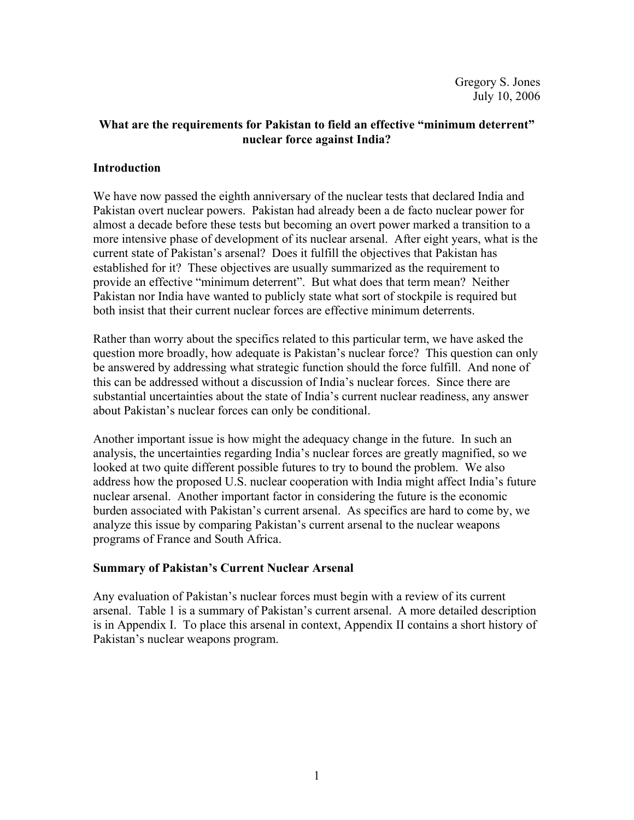# **What are the requirements for Pakistan to field an effective "minimum deterrent" nuclear force against India?**

### **Introduction**

We have now passed the eighth anniversary of the nuclear tests that declared India and Pakistan overt nuclear powers. Pakistan had already been a de facto nuclear power for almost a decade before these tests but becoming an overt power marked a transition to a more intensive phase of development of its nuclear arsenal. After eight years, what is the current state of Pakistan's arsenal? Does it fulfill the objectives that Pakistan has established for it? These objectives are usually summarized as the requirement to provide an effective "minimum deterrent". But what does that term mean? Neither Pakistan nor India have wanted to publicly state what sort of stockpile is required but both insist that their current nuclear forces are effective minimum deterrents.

Rather than worry about the specifics related to this particular term, we have asked the question more broadly, how adequate is Pakistan's nuclear force? This question can only be answered by addressing what strategic function should the force fulfill. And none of this can be addressed without a discussion of India's nuclear forces. Since there are substantial uncertainties about the state of India's current nuclear readiness, any answer about Pakistan's nuclear forces can only be conditional.

Another important issue is how might the adequacy change in the future. In such an analysis, the uncertainties regarding India's nuclear forces are greatly magnified, so we looked at two quite different possible futures to try to bound the problem. We also address how the proposed U.S. nuclear cooperation with India might affect India's future nuclear arsenal. Another important factor in considering the future is the economic burden associated with Pakistan's current arsenal. As specifics are hard to come by, we analyze this issue by comparing Pakistan's current arsenal to the nuclear weapons programs of France and South Africa.

# **Summary of Pakistan's Current Nuclear Arsenal**

Any evaluation of Pakistan's nuclear forces must begin with a review of its current arsenal. Table 1 is a summary of Pakistan's current arsenal. A more detailed description is in Appendix I. To place this arsenal in context, Appendix II contains a short history of Pakistan's nuclear weapons program.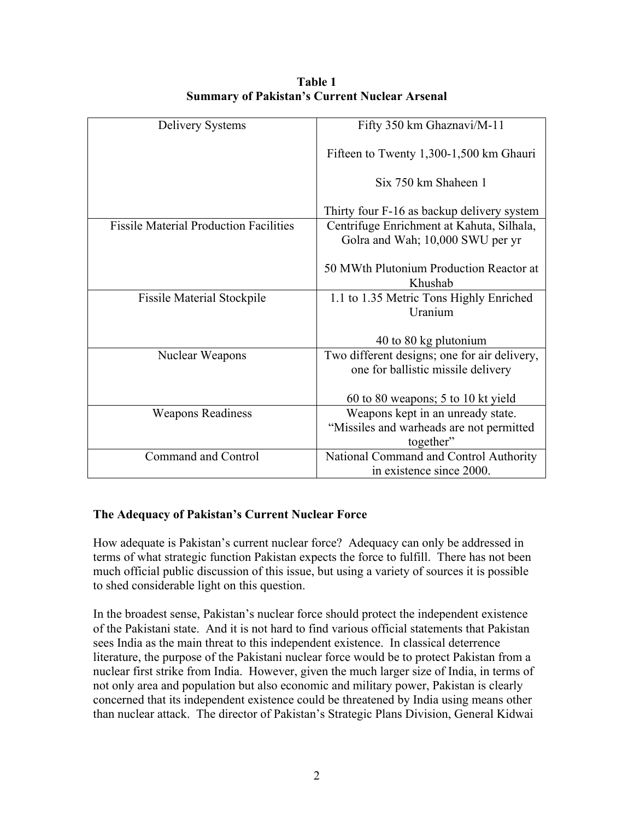| Delivery Systems                              | Fifty 350 km Ghaznavi/M-11                   |  |
|-----------------------------------------------|----------------------------------------------|--|
|                                               |                                              |  |
|                                               | Fifteen to Twenty 1,300-1,500 km Ghauri      |  |
|                                               |                                              |  |
|                                               | Six 750 km Shaheen 1                         |  |
|                                               |                                              |  |
|                                               |                                              |  |
|                                               | Thirty four F-16 as backup delivery system   |  |
| <b>Fissile Material Production Facilities</b> | Centrifuge Enrichment at Kahuta, Silhala,    |  |
|                                               | Golra and Wah; 10,000 SWU per yr             |  |
|                                               |                                              |  |
|                                               | 50 MWth Plutonium Production Reactor at      |  |
|                                               |                                              |  |
|                                               | Khushab                                      |  |
| <b>Fissile Material Stockpile</b>             | 1.1 to 1.35 Metric Tons Highly Enriched      |  |
|                                               | Uranium                                      |  |
|                                               |                                              |  |
|                                               |                                              |  |
|                                               | 40 to 80 kg plutonium                        |  |
| Nuclear Weapons                               | Two different designs; one for air delivery, |  |
|                                               | one for ballistic missile delivery           |  |
|                                               |                                              |  |
|                                               | 60 to 80 weapons; 5 to 10 kt yield           |  |
| <b>Weapons Readiness</b>                      | Weapons kept in an unready state.            |  |
|                                               |                                              |  |
|                                               | "Missiles and warheads are not permitted     |  |
|                                               | together"                                    |  |
| Command and Control                           | National Command and Control Authority       |  |
|                                               | in existence since 2000.                     |  |
|                                               |                                              |  |

**Table 1 Summary of Pakistan's Current Nuclear Arsenal** 

# **The Adequacy of Pakistan's Current Nuclear Force**

How adequate is Pakistan's current nuclear force? Adequacy can only be addressed in terms of what strategic function Pakistan expects the force to fulfill. There has not been much official public discussion of this issue, but using a variety of sources it is possible to shed considerable light on this question.

In the broadest sense, Pakistan's nuclear force should protect the independent existence of the Pakistani state. And it is not hard to find various official statements that Pakistan sees India as the main threat to this independent existence. In classical deterrence literature, the purpose of the Pakistani nuclear force would be to protect Pakistan from a nuclear first strike from India. However, given the much larger size of India, in terms of not only area and population but also economic and military power, Pakistan is clearly concerned that its independent existence could be threatened by India using means other than nuclear attack. The director of Pakistan's Strategic Plans Division, General Kidwai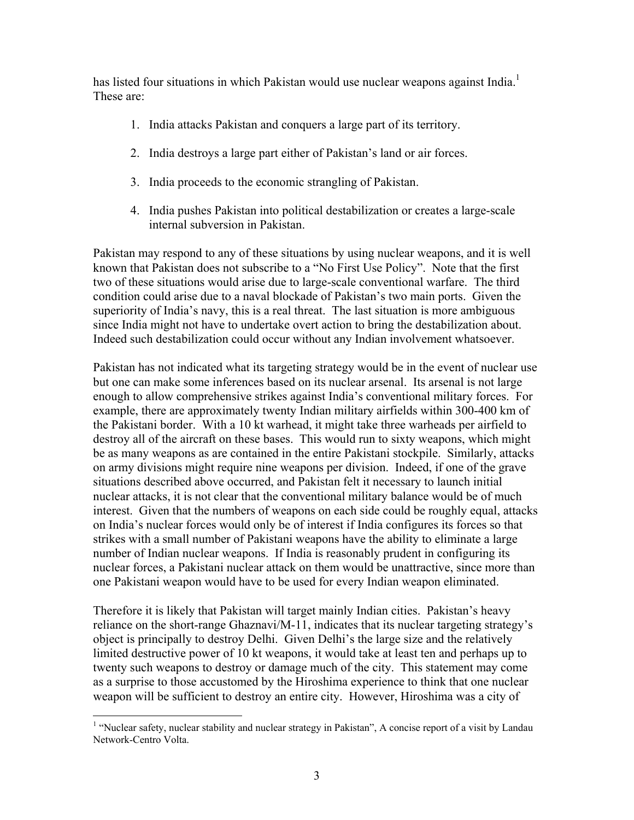has listed four situations in which Pakistan would use nuclear weapons against India.<sup>1</sup> These are:

- 1. India attacks Pakistan and conquers a large part of its territory.
- 2. India destroys a large part either of Pakistan's land or air forces.
- 3. India proceeds to the economic strangling of Pakistan.
- 4. India pushes Pakistan into political destabilization or creates a large-scale internal subversion in Pakistan.

Pakistan may respond to any of these situations by using nuclear weapons, and it is well known that Pakistan does not subscribe to a "No First Use Policy". Note that the first two of these situations would arise due to large-scale conventional warfare. The third condition could arise due to a naval blockade of Pakistan's two main ports. Given the superiority of India's navy, this is a real threat. The last situation is more ambiguous since India might not have to undertake overt action to bring the destabilization about. Indeed such destabilization could occur without any Indian involvement whatsoever.

Pakistan has not indicated what its targeting strategy would be in the event of nuclear use but one can make some inferences based on its nuclear arsenal. Its arsenal is not large enough to allow comprehensive strikes against India's conventional military forces. For example, there are approximately twenty Indian military airfields within 300-400 km of the Pakistani border. With a 10 kt warhead, it might take three warheads per airfield to destroy all of the aircraft on these bases. This would run to sixty weapons, which might be as many weapons as are contained in the entire Pakistani stockpile. Similarly, attacks on army divisions might require nine weapons per division. Indeed, if one of the grave situations described above occurred, and Pakistan felt it necessary to launch initial nuclear attacks, it is not clear that the conventional military balance would be of much interest. Given that the numbers of weapons on each side could be roughly equal, attacks on India's nuclear forces would only be of interest if India configures its forces so that strikes with a small number of Pakistani weapons have the ability to eliminate a large number of Indian nuclear weapons. If India is reasonably prudent in configuring its nuclear forces, a Pakistani nuclear attack on them would be unattractive, since more than one Pakistani weapon would have to be used for every Indian weapon eliminated.

Therefore it is likely that Pakistan will target mainly Indian cities. Pakistan's heavy reliance on the short-range Ghaznavi/M-11, indicates that its nuclear targeting strategy's object is principally to destroy Delhi. Given Delhi's the large size and the relatively limited destructive power of 10 kt weapons, it would take at least ten and perhaps up to twenty such weapons to destroy or damage much of the city. This statement may come as a surprise to those accustomed by the Hiroshima experience to think that one nuclear weapon will be sufficient to destroy an entire city. However, Hiroshima was a city of

 1 "Nuclear safety, nuclear stability and nuclear strategy in Pakistan", A concise report of a visit by Landau Network-Centro Volta.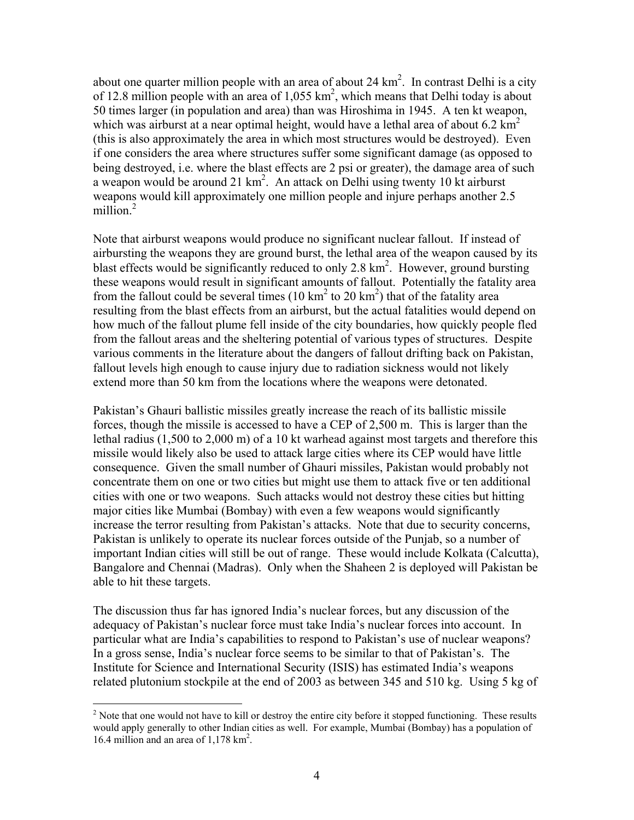about one quarter million people with an area of about 24  $\text{km}^2$ . In contrast Delhi is a city of 12.8 million people with an area of  $1,055 \text{ km}^2$ , which means that Delhi today is about 50 times larger (in population and area) than was Hiroshima in 1945. A ten kt weapon, which was airburst at a near optimal height, would have a lethal area of about 6.2  $km^2$ (this is also approximately the area in which most structures would be destroyed). Even if one considers the area where structures suffer some significant damage (as opposed to being destroyed, i.e. where the blast effects are 2 psi or greater), the damage area of such a weapon would be around 21  $km^2$ . An attack on Delhi using twenty 10 kt airburst weapons would kill approximately one million people and injure perhaps another 2.5 million.<sup>2</sup>

Note that airburst weapons would produce no significant nuclear fallout. If instead of airbursting the weapons they are ground burst, the lethal area of the weapon caused by its blast effects would be significantly reduced to only 2.8  $km<sup>2</sup>$ . However, ground bursting these weapons would result in significant amounts of fallout. Potentially the fatality area from the fallout could be several times  $(10 \text{ km}^2 \text{ to } 20 \text{ km}^2)$  that of the fatality area resulting from the blast effects from an airburst, but the actual fatalities would depend on how much of the fallout plume fell inside of the city boundaries, how quickly people fled from the fallout areas and the sheltering potential of various types of structures. Despite various comments in the literature about the dangers of fallout drifting back on Pakistan, fallout levels high enough to cause injury due to radiation sickness would not likely extend more than 50 km from the locations where the weapons were detonated.

Pakistan's Ghauri ballistic missiles greatly increase the reach of its ballistic missile forces, though the missile is accessed to have a CEP of 2,500 m. This is larger than the lethal radius (1,500 to 2,000 m) of a 10 kt warhead against most targets and therefore this missile would likely also be used to attack large cities where its CEP would have little consequence. Given the small number of Ghauri missiles, Pakistan would probably not concentrate them on one or two cities but might use them to attack five or ten additional cities with one or two weapons. Such attacks would not destroy these cities but hitting major cities like Mumbai (Bombay) with even a few weapons would significantly increase the terror resulting from Pakistan's attacks. Note that due to security concerns, Pakistan is unlikely to operate its nuclear forces outside of the Punjab, so a number of important Indian cities will still be out of range. These would include Kolkata (Calcutta), Bangalore and Chennai (Madras). Only when the Shaheen 2 is deployed will Pakistan be able to hit these targets.

The discussion thus far has ignored India's nuclear forces, but any discussion of the adequacy of Pakistan's nuclear force must take India's nuclear forces into account. In particular what are India's capabilities to respond to Pakistan's use of nuclear weapons? In a gross sense, India's nuclear force seems to be similar to that of Pakistan's. The Institute for Science and International Security (ISIS) has estimated India's weapons related plutonium stockpile at the end of 2003 as between 345 and 510 kg. Using 5 kg of

<sup>1</sup>  $2^{2}$  Note that one would not have to kill or destroy the entire city before it stopped functioning. These results would apply generally to other Indian cities as well. For example, Mumbai (Bombay) has a population of 16.4 million and an area of 1,178 km<sup>2</sup>.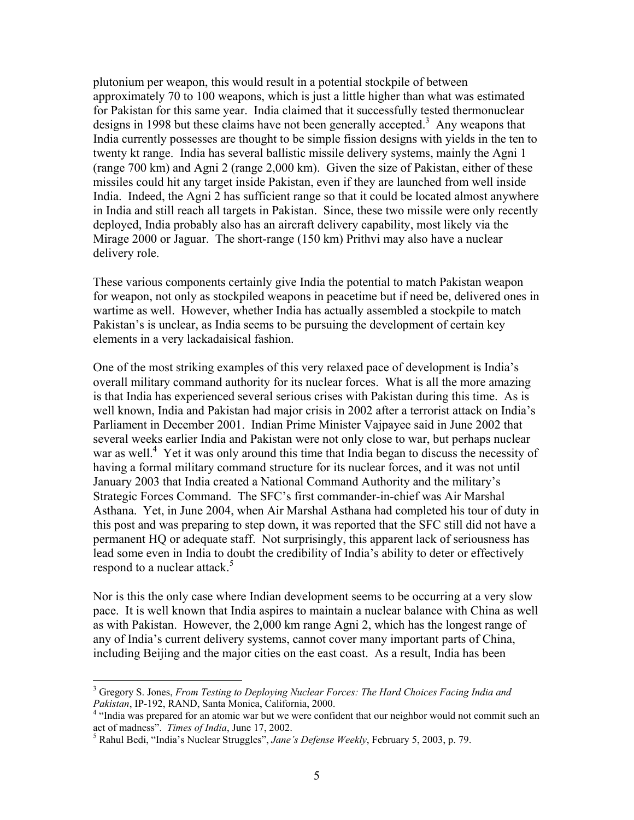plutonium per weapon, this would result in a potential stockpile of between approximately 70 to 100 weapons, which is just a little higher than what was estimated for Pakistan for this same year. India claimed that it successfully tested thermonuclear designs in 1998 but these claims have not been generally accepted.<sup>3</sup> Any weapons that India currently possesses are thought to be simple fission designs with yields in the ten to twenty kt range. India has several ballistic missile delivery systems, mainly the Agni 1 (range 700 km) and Agni 2 (range 2,000 km). Given the size of Pakistan, either of these missiles could hit any target inside Pakistan, even if they are launched from well inside India. Indeed, the Agni 2 has sufficient range so that it could be located almost anywhere in India and still reach all targets in Pakistan. Since, these two missile were only recently deployed, India probably also has an aircraft delivery capability, most likely via the Mirage 2000 or Jaguar. The short-range (150 km) Prithvi may also have a nuclear delivery role.

These various components certainly give India the potential to match Pakistan weapon for weapon, not only as stockpiled weapons in peacetime but if need be, delivered ones in wartime as well. However, whether India has actually assembled a stockpile to match Pakistan's is unclear, as India seems to be pursuing the development of certain key elements in a very lackadaisical fashion.

One of the most striking examples of this very relaxed pace of development is India's overall military command authority for its nuclear forces. What is all the more amazing is that India has experienced several serious crises with Pakistan during this time. As is well known, India and Pakistan had major crisis in 2002 after a terrorist attack on India's Parliament in December 2001. Indian Prime Minister Vajpayee said in June 2002 that several weeks earlier India and Pakistan were not only close to war, but perhaps nuclear war as well.<sup>4</sup> Yet it was only around this time that India began to discuss the necessity of having a formal military command structure for its nuclear forces, and it was not until January 2003 that India created a National Command Authority and the military's Strategic Forces Command. The SFC's first commander-in-chief was Air Marshal Asthana. Yet, in June 2004, when Air Marshal Asthana had completed his tour of duty in this post and was preparing to step down, it was reported that the SFC still did not have a permanent HQ or adequate staff. Not surprisingly, this apparent lack of seriousness has lead some even in India to doubt the credibility of India's ability to deter or effectively respond to a nuclear attack.<sup>5</sup>

Nor is this the only case where Indian development seems to be occurring at a very slow pace. It is well known that India aspires to maintain a nuclear balance with China as well as with Pakistan. However, the 2,000 km range Agni 2, which has the longest range of any of India's current delivery systems, cannot cover many important parts of China, including Beijing and the major cities on the east coast. As a result, India has been

<sup>3</sup> Gregory S. Jones, *From Testing to Deploying Nuclear Forces: The Hard Choices Facing India and Pakistan*, IP-192, RAND, Santa Monica, California, 2000. 4

<sup>&</sup>lt;sup>4</sup> "India was prepared for an atomic war but we were confident that our neighbor would not commit such an act of madness". Times of India, June 17, 2002.

Rahul Bedi, "India's Nuclear Struggles", *Jane's Defense Weekly*, February 5, 2003, p. 79.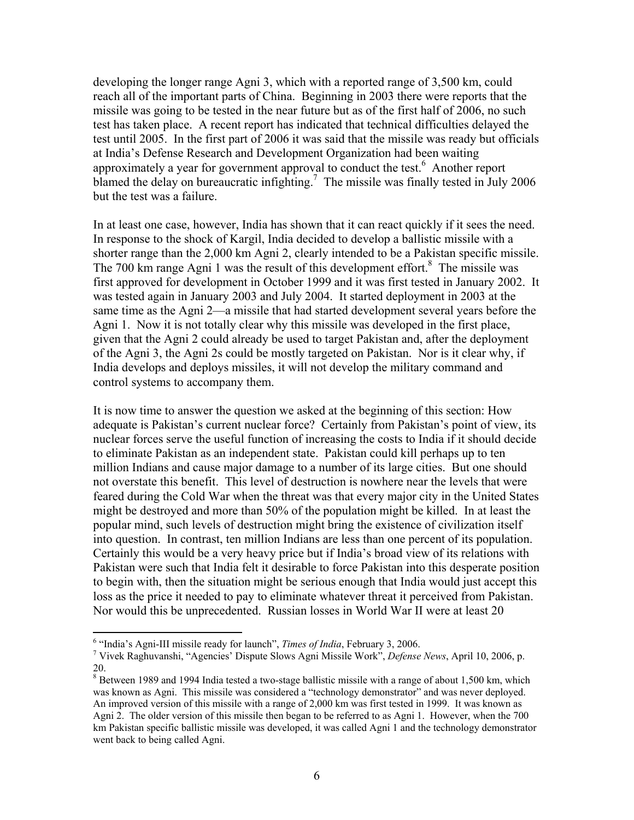developing the longer range Agni 3, which with a reported range of 3,500 km, could reach all of the important parts of China. Beginning in 2003 there were reports that the missile was going to be tested in the near future but as of the first half of 2006, no such test has taken place. A recent report has indicated that technical difficulties delayed the test until 2005. In the first part of 2006 it was said that the missile was ready but officials at India's Defense Research and Development Organization had been waiting approximately a year for government approval to conduct the test.<sup>6</sup> Another report blamed the delay on bureaucratic infighting.<sup>7</sup> The missile was finally tested in July 2006 but the test was a failure.

In at least one case, however, India has shown that it can react quickly if it sees the need. In response to the shock of Kargil, India decided to develop a ballistic missile with a shorter range than the 2,000 km Agni 2, clearly intended to be a Pakistan specific missile. The 700 km range Agni 1 was the result of this development effort.<sup>8</sup> The missile was first approved for development in October 1999 and it was first tested in January 2002. It was tested again in January 2003 and July 2004. It started deployment in 2003 at the same time as the Agni 2—a missile that had started development several years before the Agni 1. Now it is not totally clear why this missile was developed in the first place, given that the Agni 2 could already be used to target Pakistan and, after the deployment of the Agni 3, the Agni 2s could be mostly targeted on Pakistan. Nor is it clear why, if India develops and deploys missiles, it will not develop the military command and control systems to accompany them.

It is now time to answer the question we asked at the beginning of this section: How adequate is Pakistan's current nuclear force? Certainly from Pakistan's point of view, its nuclear forces serve the useful function of increasing the costs to India if it should decide to eliminate Pakistan as an independent state. Pakistan could kill perhaps up to ten million Indians and cause major damage to a number of its large cities. But one should not overstate this benefit. This level of destruction is nowhere near the levels that were feared during the Cold War when the threat was that every major city in the United States might be destroyed and more than 50% of the population might be killed. In at least the popular mind, such levels of destruction might bring the existence of civilization itself into question. In contrast, ten million Indians are less than one percent of its population. Certainly this would be a very heavy price but if India's broad view of its relations with Pakistan were such that India felt it desirable to force Pakistan into this desperate position to begin with, then the situation might be serious enough that India would just accept this loss as the price it needed to pay to eliminate whatever threat it perceived from Pakistan. Nor would this be unprecedented. Russian losses in World War II were at least 20

 $\overline{a}$ <sup>6</sup> "India's Agni-III missile ready for launch", *Times of India*, February 3, 2006.<br><sup>7</sup> Vivels Boshuvanshi, "A sonaios" Dispute Slows Agni Missile Work", *Defense* 

Vivek Raghuvanshi, "Agencies' Dispute Slows Agni Missile Work", *Defense News*, April 10, 2006, p. 20.

 $8$  Between 1989 and 1994 India tested a two-stage ballistic missile with a range of about 1,500 km, which was known as Agni. This missile was considered a "technology demonstrator" and was never deployed. An improved version of this missile with a range of 2,000 km was first tested in 1999. It was known as Agni 2. The older version of this missile then began to be referred to as Agni 1. However, when the 700 km Pakistan specific ballistic missile was developed, it was called Agni 1 and the technology demonstrator went back to being called Agni.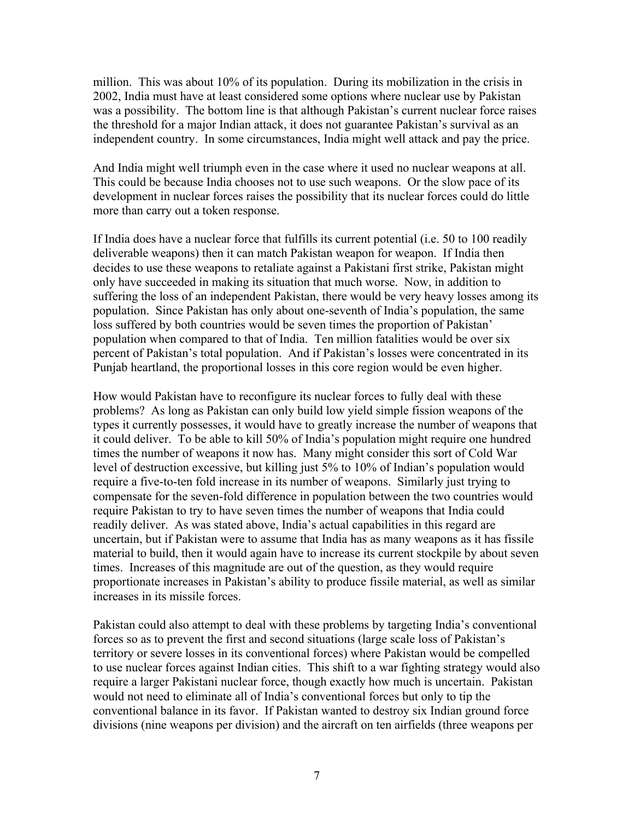million. This was about 10% of its population. During its mobilization in the crisis in 2002, India must have at least considered some options where nuclear use by Pakistan was a possibility. The bottom line is that although Pakistan's current nuclear force raises the threshold for a major Indian attack, it does not guarantee Pakistan's survival as an independent country. In some circumstances, India might well attack and pay the price.

And India might well triumph even in the case where it used no nuclear weapons at all. This could be because India chooses not to use such weapons. Or the slow pace of its development in nuclear forces raises the possibility that its nuclear forces could do little more than carry out a token response.

If India does have a nuclear force that fulfills its current potential (i.e. 50 to 100 readily deliverable weapons) then it can match Pakistan weapon for weapon. If India then decides to use these weapons to retaliate against a Pakistani first strike, Pakistan might only have succeeded in making its situation that much worse. Now, in addition to suffering the loss of an independent Pakistan, there would be very heavy losses among its population. Since Pakistan has only about one-seventh of India's population, the same loss suffered by both countries would be seven times the proportion of Pakistan' population when compared to that of India. Ten million fatalities would be over six percent of Pakistan's total population. And if Pakistan's losses were concentrated in its Punjab heartland, the proportional losses in this core region would be even higher.

How would Pakistan have to reconfigure its nuclear forces to fully deal with these problems? As long as Pakistan can only build low yield simple fission weapons of the types it currently possesses, it would have to greatly increase the number of weapons that it could deliver. To be able to kill 50% of India's population might require one hundred times the number of weapons it now has. Many might consider this sort of Cold War level of destruction excessive, but killing just 5% to 10% of Indian's population would require a five-to-ten fold increase in its number of weapons. Similarly just trying to compensate for the seven-fold difference in population between the two countries would require Pakistan to try to have seven times the number of weapons that India could readily deliver. As was stated above, India's actual capabilities in this regard are uncertain, but if Pakistan were to assume that India has as many weapons as it has fissile material to build, then it would again have to increase its current stockpile by about seven times. Increases of this magnitude are out of the question, as they would require proportionate increases in Pakistan's ability to produce fissile material, as well as similar increases in its missile forces.

Pakistan could also attempt to deal with these problems by targeting India's conventional forces so as to prevent the first and second situations (large scale loss of Pakistan's territory or severe losses in its conventional forces) where Pakistan would be compelled to use nuclear forces against Indian cities. This shift to a war fighting strategy would also require a larger Pakistani nuclear force, though exactly how much is uncertain. Pakistan would not need to eliminate all of India's conventional forces but only to tip the conventional balance in its favor. If Pakistan wanted to destroy six Indian ground force divisions (nine weapons per division) and the aircraft on ten airfields (three weapons per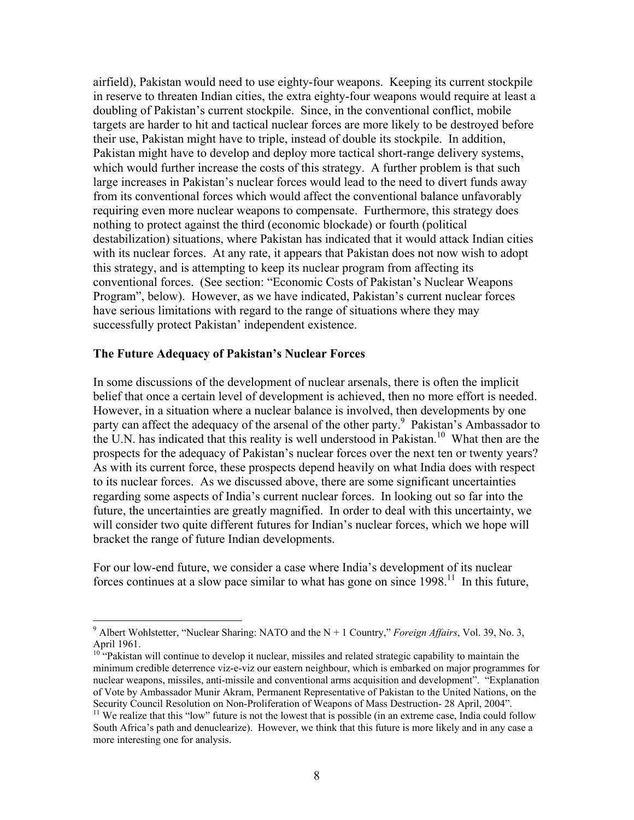airfield), Pakistan would need to use eighty-four weapons. Keeping its current stockpile in reserve to threaten Indian cities, the extra eighty-four weapons would require at least a doubling of Pakistan's current stockpile. Since, in the conventional conflict, mobile targets are harder to hit and tactical nuclear forces are more likely to be destroyed before their use, Pakistan might have to triple, instead of double its stockpile. In addition, Pakistan might have to develop and deploy more tactical short-range delivery systems, which would further increase the costs of this strategy. A further problem is that such large increases in Pakistan's nuclear forces would lead to the need to divert funds away from its conventional forces which would affect the conventional balance unfavorably requiring even more nuclear weapons to compensate. Furthermore, this strategy does nothing to protect against the third (economic blockade) or fourth (political destabilization) situations, where Pakistan has indicated that it would attack Indian cities with its nuclear forces. At any rate, it appears that Pakistan does not now wish to adopt this strategy, and is attempting to keep its nuclear program from affecting its conventional forces. (See section: "Economic Costs of Pakistan's Nuclear Weapons Program", below). However, as we have indicated, Pakistan's current nuclear forces have serious limitations with regard to the range of situations where they may successfully protect Pakistan' independent existence.

#### **The Future Adequacy of Pakistan's Nuclear Forces**

 $\overline{a}$ 

In some discussions of the development of nuclear arsenals, there is often the implicit belief that once a certain level of development is achieved, then no more effort is needed. However, in a situation where a nuclear balance is involved, then developments by one party can affect the adequacy of the arsenal of the other party.<sup>9</sup> Pakistan's Ambassador to the U.N. has indicated that this reality is well understood in Pakistan.<sup>10</sup> What then are the prospects for the adequacy of Pakistan's nuclear forces over the next ten or twenty years? As with its current force, these prospects depend heavily on what India does with respect to its nuclear forces. As we discussed above, there are some significant uncertainties regarding some aspects of India's current nuclear forces. In looking out so far into the future, the uncertainties are greatly magnified. In order to deal with this uncertainty, we will consider two quite different futures for Indian's nuclear forces, which we hope will bracket the range of future Indian developments.

For our low-end future, we consider a case where India's development of its nuclear forces continues at a slow pace similar to what has gone on since  $1998$ <sup>11</sup>. In this future,

<sup>&</sup>lt;sup>9</sup> Albert Wohlstetter, "Nuclear Sharing: NATO and the N + 1 Country," *Foreign Affairs*, Vol. 39, No. 3, April 1961.

<sup>&</sup>lt;sup>10\*</sup>"Pakistan will continue to develop it nuclear, missiles and related strategic capability to maintain the minimum credible deterrence viz-e-viz our eastern neighbour, which is embarked on major programmes for nuclear weapons, missiles, anti-missile and conventional arms acquisition and development". "Explanation of Vote by Ambassador Munir Akram, Permanent Representative of Pakistan to the United Nations, on the Security Council Resolution on Non-Proliferation of Weapons of Mass Destruction-28 April, 2004".

 $11$  We realize that this "low" future is not the lowest that is possible (in an extreme case, India could follow South Africa's path and denuclearize). However, we think that this future is more likely and in any case a more interesting one for analysis.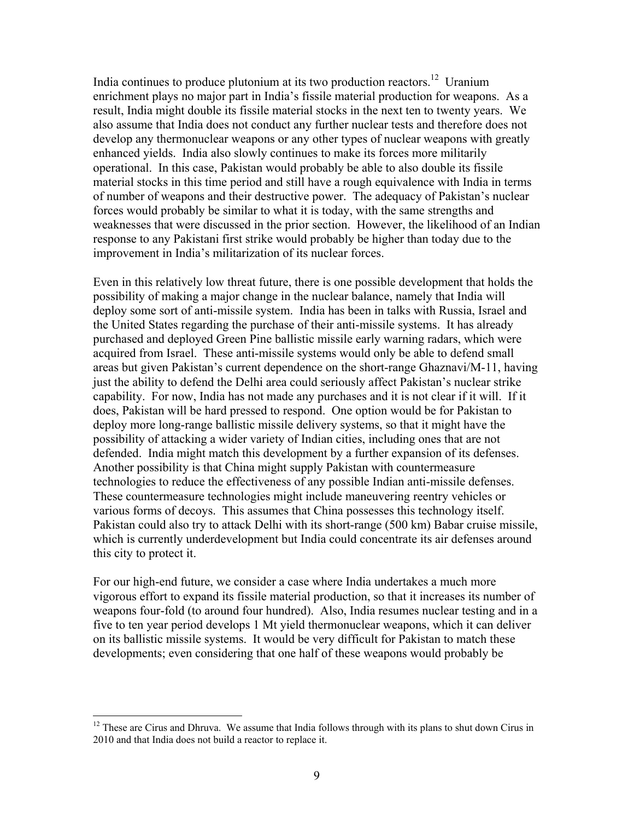India continues to produce plutonium at its two production reactors.<sup>12</sup> Uranium enrichment plays no major part in India's fissile material production for weapons. As a result, India might double its fissile material stocks in the next ten to twenty years. We also assume that India does not conduct any further nuclear tests and therefore does not develop any thermonuclear weapons or any other types of nuclear weapons with greatly enhanced yields. India also slowly continues to make its forces more militarily operational. In this case, Pakistan would probably be able to also double its fissile material stocks in this time period and still have a rough equivalence with India in terms of number of weapons and their destructive power. The adequacy of Pakistan's nuclear forces would probably be similar to what it is today, with the same strengths and weaknesses that were discussed in the prior section. However, the likelihood of an Indian response to any Pakistani first strike would probably be higher than today due to the improvement in India's militarization of its nuclear forces.

Even in this relatively low threat future, there is one possible development that holds the possibility of making a major change in the nuclear balance, namely that India will deploy some sort of anti-missile system. India has been in talks with Russia, Israel and the United States regarding the purchase of their anti-missile systems. It has already purchased and deployed Green Pine ballistic missile early warning radars, which were acquired from Israel. These anti-missile systems would only be able to defend small areas but given Pakistan's current dependence on the short-range Ghaznavi/M-11, having just the ability to defend the Delhi area could seriously affect Pakistan's nuclear strike capability. For now, India has not made any purchases and it is not clear if it will. If it does, Pakistan will be hard pressed to respond. One option would be for Pakistan to deploy more long-range ballistic missile delivery systems, so that it might have the possibility of attacking a wider variety of Indian cities, including ones that are not defended. India might match this development by a further expansion of its defenses. Another possibility is that China might supply Pakistan with countermeasure technologies to reduce the effectiveness of any possible Indian anti-missile defenses. These countermeasure technologies might include maneuvering reentry vehicles or various forms of decoys. This assumes that China possesses this technology itself. Pakistan could also try to attack Delhi with its short-range (500 km) Babar cruise missile, which is currently underdevelopment but India could concentrate its air defenses around this city to protect it.

For our high-end future, we consider a case where India undertakes a much more vigorous effort to expand its fissile material production, so that it increases its number of weapons four-fold (to around four hundred). Also, India resumes nuclear testing and in a five to ten year period develops 1 Mt yield thermonuclear weapons, which it can deliver on its ballistic missile systems. It would be very difficult for Pakistan to match these developments; even considering that one half of these weapons would probably be

 $12$  These are Cirus and Dhruva. We assume that India follows through with its plans to shut down Cirus in 2010 and that India does not build a reactor to replace it.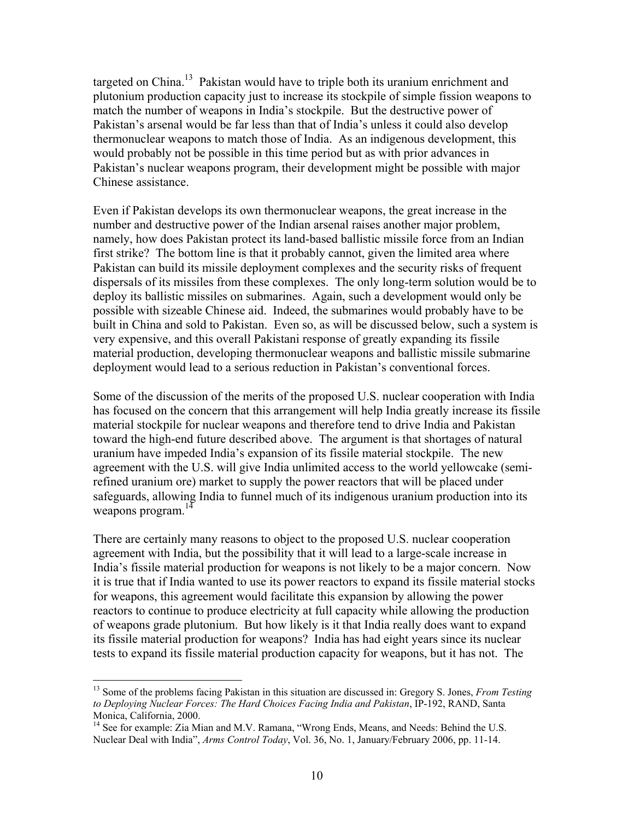targeted on China.<sup>13</sup> Pakistan would have to triple both its uranium enrichment and plutonium production capacity just to increase its stockpile of simple fission weapons to match the number of weapons in India's stockpile. But the destructive power of Pakistan's arsenal would be far less than that of India's unless it could also develop thermonuclear weapons to match those of India. As an indigenous development, this would probably not be possible in this time period but as with prior advances in Pakistan's nuclear weapons program, their development might be possible with major Chinese assistance.

Even if Pakistan develops its own thermonuclear weapons, the great increase in the number and destructive power of the Indian arsenal raises another major problem, namely, how does Pakistan protect its land-based ballistic missile force from an Indian first strike? The bottom line is that it probably cannot, given the limited area where Pakistan can build its missile deployment complexes and the security risks of frequent dispersals of its missiles from these complexes. The only long-term solution would be to deploy its ballistic missiles on submarines. Again, such a development would only be possible with sizeable Chinese aid. Indeed, the submarines would probably have to be built in China and sold to Pakistan. Even so, as will be discussed below, such a system is very expensive, and this overall Pakistani response of greatly expanding its fissile material production, developing thermonuclear weapons and ballistic missile submarine deployment would lead to a serious reduction in Pakistan's conventional forces.

Some of the discussion of the merits of the proposed U.S. nuclear cooperation with India has focused on the concern that this arrangement will help India greatly increase its fissile material stockpile for nuclear weapons and therefore tend to drive India and Pakistan toward the high-end future described above. The argument is that shortages of natural uranium have impeded India's expansion of its fissile material stockpile. The new agreement with the U.S. will give India unlimited access to the world yellowcake (semirefined uranium ore) market to supply the power reactors that will be placed under safeguards, allowing India to funnel much of its indigenous uranium production into its weapons program.<sup>14</sup>

There are certainly many reasons to object to the proposed U.S. nuclear cooperation agreement with India, but the possibility that it will lead to a large-scale increase in India's fissile material production for weapons is not likely to be a major concern. Now it is true that if India wanted to use its power reactors to expand its fissile material stocks for weapons, this agreement would facilitate this expansion by allowing the power reactors to continue to produce electricity at full capacity while allowing the production of weapons grade plutonium. But how likely is it that India really does want to expand its fissile material production for weapons? India has had eight years since its nuclear tests to expand its fissile material production capacity for weapons, but it has not. The

1

<sup>13</sup> Some of the problems facing Pakistan in this situation are discussed in: Gregory S. Jones, *From Testing to Deploying Nuclear Forces: The Hard Choices Facing India and Pakistan*, IP-192, RAND, Santa Monica, California, 2000.

<sup>&</sup>lt;sup>14</sup> See for example: Zia Mian and M.V. Ramana, "Wrong Ends, Means, and Needs: Behind the U.S. Nuclear Deal with India", *Arms Control Today*, Vol. 36, No. 1, January/February 2006, pp. 11-14.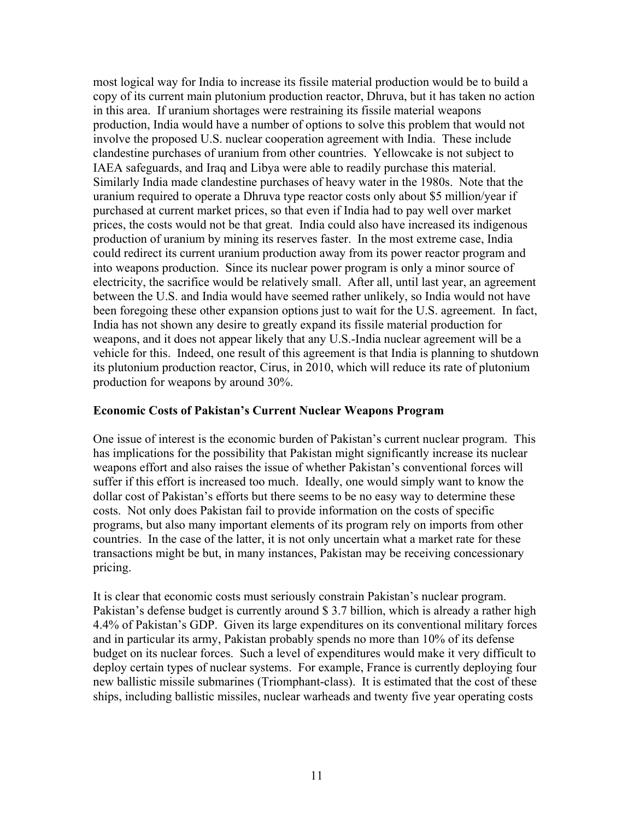most logical way for India to increase its fissile material production would be to build a copy of its current main plutonium production reactor, Dhruva, but it has taken no action in this area. If uranium shortages were restraining its fissile material weapons production, India would have a number of options to solve this problem that would not involve the proposed U.S. nuclear cooperation agreement with India. These include clandestine purchases of uranium from other countries. Yellowcake is not subject to IAEA safeguards, and Iraq and Libya were able to readily purchase this material. Similarly India made clandestine purchases of heavy water in the 1980s. Note that the uranium required to operate a Dhruva type reactor costs only about \$5 million/year if purchased at current market prices, so that even if India had to pay well over market prices, the costs would not be that great. India could also have increased its indigenous production of uranium by mining its reserves faster. In the most extreme case, India could redirect its current uranium production away from its power reactor program and into weapons production. Since its nuclear power program is only a minor source of electricity, the sacrifice would be relatively small. After all, until last year, an agreement between the U.S. and India would have seemed rather unlikely, so India would not have been foregoing these other expansion options just to wait for the U.S. agreement. In fact, India has not shown any desire to greatly expand its fissile material production for weapons, and it does not appear likely that any U.S.-India nuclear agreement will be a vehicle for this. Indeed, one result of this agreement is that India is planning to shutdown its plutonium production reactor, Cirus, in 2010, which will reduce its rate of plutonium production for weapons by around 30%.

### **Economic Costs of Pakistan's Current Nuclear Weapons Program**

One issue of interest is the economic burden of Pakistan's current nuclear program. This has implications for the possibility that Pakistan might significantly increase its nuclear weapons effort and also raises the issue of whether Pakistan's conventional forces will suffer if this effort is increased too much. Ideally, one would simply want to know the dollar cost of Pakistan's efforts but there seems to be no easy way to determine these costs. Not only does Pakistan fail to provide information on the costs of specific programs, but also many important elements of its program rely on imports from other countries. In the case of the latter, it is not only uncertain what a market rate for these transactions might be but, in many instances, Pakistan may be receiving concessionary pricing.

It is clear that economic costs must seriously constrain Pakistan's nuclear program. Pakistan's defense budget is currently around \$ 3.7 billion, which is already a rather high 4.4% of Pakistan's GDP. Given its large expenditures on its conventional military forces and in particular its army, Pakistan probably spends no more than 10% of its defense budget on its nuclear forces. Such a level of expenditures would make it very difficult to deploy certain types of nuclear systems. For example, France is currently deploying four new ballistic missile submarines (Triomphant-class). It is estimated that the cost of these ships, including ballistic missiles, nuclear warheads and twenty five year operating costs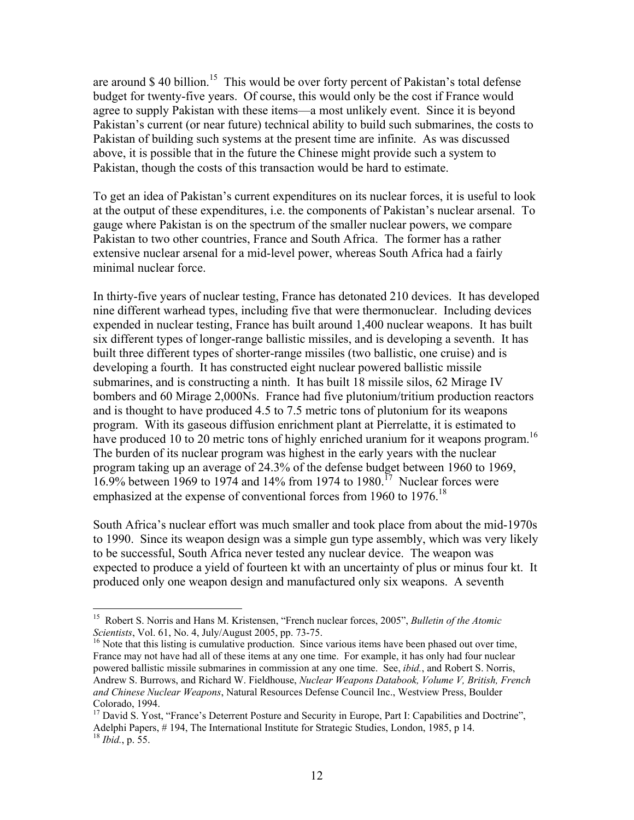are around \$40 billion.<sup>15</sup> This would be over forty percent of Pakistan's total defense budget for twenty-five years. Of course, this would only be the cost if France would agree to supply Pakistan with these items—a most unlikely event. Since it is beyond Pakistan's current (or near future) technical ability to build such submarines, the costs to Pakistan of building such systems at the present time are infinite. As was discussed above, it is possible that in the future the Chinese might provide such a system to Pakistan, though the costs of this transaction would be hard to estimate.

To get an idea of Pakistan's current expenditures on its nuclear forces, it is useful to look at the output of these expenditures, i.e. the components of Pakistan's nuclear arsenal. To gauge where Pakistan is on the spectrum of the smaller nuclear powers, we compare Pakistan to two other countries, France and South Africa. The former has a rather extensive nuclear arsenal for a mid-level power, whereas South Africa had a fairly minimal nuclear force.

In thirty-five years of nuclear testing, France has detonated 210 devices. It has developed nine different warhead types, including five that were thermonuclear. Including devices expended in nuclear testing, France has built around 1,400 nuclear weapons. It has built six different types of longer-range ballistic missiles, and is developing a seventh. It has built three different types of shorter-range missiles (two ballistic, one cruise) and is developing a fourth. It has constructed eight nuclear powered ballistic missile submarines, and is constructing a ninth. It has built 18 missile silos, 62 Mirage IV bombers and 60 Mirage 2,000Ns. France had five plutonium/tritium production reactors and is thought to have produced 4.5 to 7.5 metric tons of plutonium for its weapons program. With its gaseous diffusion enrichment plant at Pierrelatte, it is estimated to have produced 10 to 20 metric tons of highly enriched uranium for it weapons program.<sup>16</sup> The burden of its nuclear program was highest in the early years with the nuclear program taking up an average of 24.3% of the defense budget between 1960 to 1969, 16.9% between 1969 to 1974 and 14% from 1974 to 1980.<sup>17</sup> Nuclear forces were emphasized at the expense of conventional forces from 1960 to 1976.<sup>18</sup>

South Africa's nuclear effort was much smaller and took place from about the mid-1970s to 1990. Since its weapon design was a simple gun type assembly, which was very likely to be successful, South Africa never tested any nuclear device. The weapon was expected to produce a yield of fourteen kt with an uncertainty of plus or minus four kt. It produced only one weapon design and manufactured only six weapons. A seventh

<sup>&</sup>lt;sup>15</sup> Robert S. Norris and Hans M. Kristensen, "French nuclear forces, 2005", *Bulletin of the Atomic Scientists*, Vol. 61, No. 4, July/August 2005, pp. 73-75.

<sup>&</sup>lt;sup>16</sup> Note that this listing is cumulative production. Since various items have been phased out over time, France may not have had all of these items at any one time. For example, it has only had four nuclear powered ballistic missile submarines in commission at any one time. See, *ibid.*, and Robert S. Norris, Andrew S. Burrows, and Richard W. Fieldhouse, *Nuclear Weapons Databook, Volume V, British, French and Chinese Nuclear Weapons*, Natural Resources Defense Council Inc., Westview Press, Boulder Colorado, 1994.

<sup>&</sup>lt;sup>17</sup> David S. Yost, "France's Deterrent Posture and Security in Europe, Part I: Capabilities and Doctrine", Adelphi Papers, # 194, The International Institute for Strategic Studies, London, 1985, p 14. <sup>18</sup> *Ibid.*, p. 55.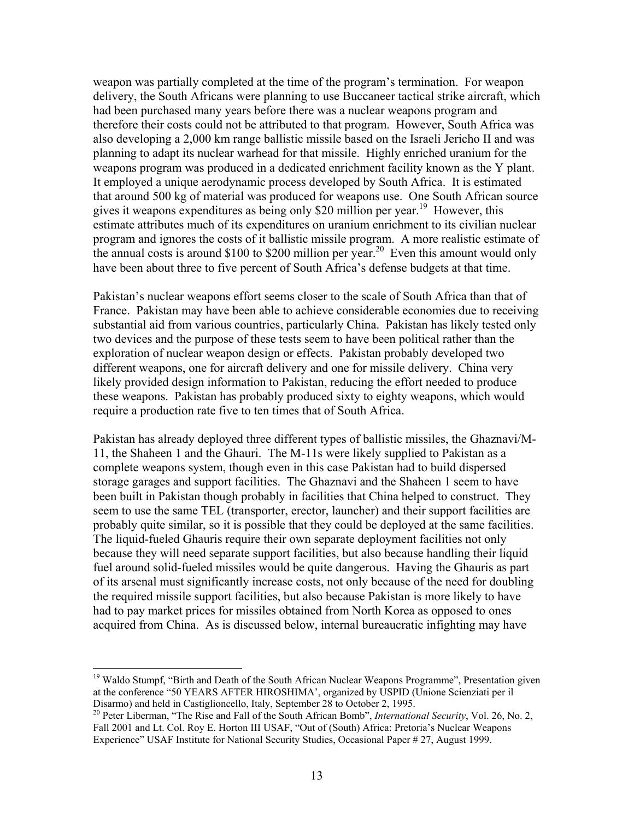weapon was partially completed at the time of the program's termination. For weapon delivery, the South Africans were planning to use Buccaneer tactical strike aircraft, which had been purchased many years before there was a nuclear weapons program and therefore their costs could not be attributed to that program. However, South Africa was also developing a 2,000 km range ballistic missile based on the Israeli Jericho II and was planning to adapt its nuclear warhead for that missile. Highly enriched uranium for the weapons program was produced in a dedicated enrichment facility known as the Y plant. It employed a unique aerodynamic process developed by South Africa. It is estimated that around 500 kg of material was produced for weapons use. One South African source gives it weapons expenditures as being only \$20 million per year.<sup>19</sup> However, this estimate attributes much of its expenditures on uranium enrichment to its civilian nuclear program and ignores the costs of it ballistic missile program. A more realistic estimate of the annual costs is around \$100 to \$200 million per year.<sup>20</sup> Even this amount would only have been about three to five percent of South Africa's defense budgets at that time.

Pakistan's nuclear weapons effort seems closer to the scale of South Africa than that of France. Pakistan may have been able to achieve considerable economies due to receiving substantial aid from various countries, particularly China. Pakistan has likely tested only two devices and the purpose of these tests seem to have been political rather than the exploration of nuclear weapon design or effects. Pakistan probably developed two different weapons, one for aircraft delivery and one for missile delivery. China very likely provided design information to Pakistan, reducing the effort needed to produce these weapons. Pakistan has probably produced sixty to eighty weapons, which would require a production rate five to ten times that of South Africa.

Pakistan has already deployed three different types of ballistic missiles, the Ghaznavi/M-11, the Shaheen 1 and the Ghauri. The M-11s were likely supplied to Pakistan as a complete weapons system, though even in this case Pakistan had to build dispersed storage garages and support facilities. The Ghaznavi and the Shaheen 1 seem to have been built in Pakistan though probably in facilities that China helped to construct. They seem to use the same TEL (transporter, erector, launcher) and their support facilities are probably quite similar, so it is possible that they could be deployed at the same facilities. The liquid-fueled Ghauris require their own separate deployment facilities not only because they will need separate support facilities, but also because handling their liquid fuel around solid-fueled missiles would be quite dangerous. Having the Ghauris as part of its arsenal must significantly increase costs, not only because of the need for doubling the required missile support facilities, but also because Pakistan is more likely to have had to pay market prices for missiles obtained from North Korea as opposed to ones acquired from China. As is discussed below, internal bureaucratic infighting may have

1

<sup>&</sup>lt;sup>19</sup> Waldo Stumpf, "Birth and Death of the South African Nuclear Weapons Programme", Presentation given at the conference "50 YEARS AFTER HIROSHIMA', organized by USPID (Unione Scienziati per il Disarmo) and held in Castiglioncello, Italy, September 28 to October 2, 1995.

<sup>20</sup> Peter Liberman, "The Rise and Fall of the South African Bomb", *International Security*, Vol. 26, No. 2, Fall 2001 and Lt. Col. Roy E. Horton III USAF, "Out of (South) Africa: Pretoria's Nuclear Weapons Experience" USAF Institute for National Security Studies, Occasional Paper # 27, August 1999.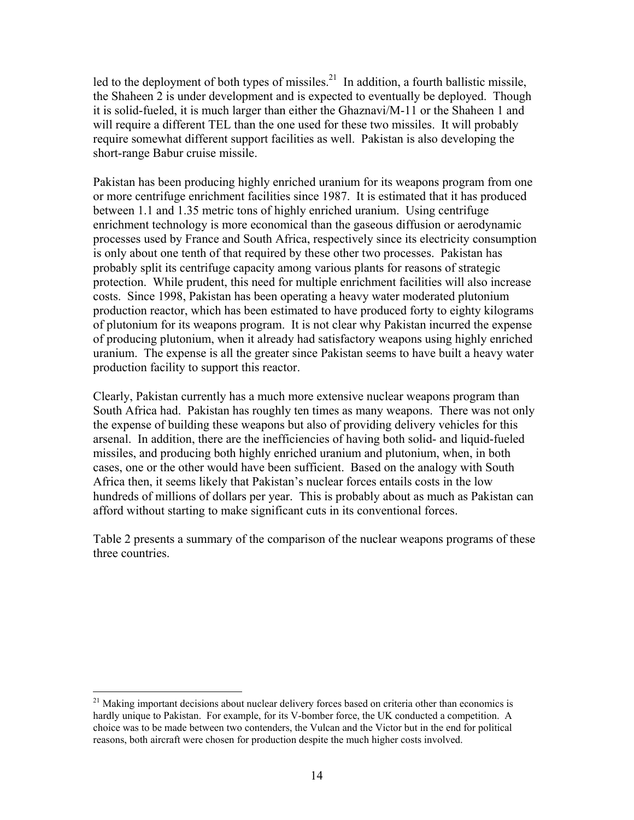led to the deployment of both types of missiles.<sup>21</sup> In addition, a fourth ballistic missile, the Shaheen 2 is under development and is expected to eventually be deployed. Though it is solid-fueled, it is much larger than either the Ghaznavi/M-11 or the Shaheen 1 and will require a different TEL than the one used for these two missiles. It will probably require somewhat different support facilities as well. Pakistan is also developing the short-range Babur cruise missile.

Pakistan has been producing highly enriched uranium for its weapons program from one or more centrifuge enrichment facilities since 1987. It is estimated that it has produced between 1.1 and 1.35 metric tons of highly enriched uranium. Using centrifuge enrichment technology is more economical than the gaseous diffusion or aerodynamic processes used by France and South Africa, respectively since its electricity consumption is only about one tenth of that required by these other two processes. Pakistan has probably split its centrifuge capacity among various plants for reasons of strategic protection. While prudent, this need for multiple enrichment facilities will also increase costs. Since 1998, Pakistan has been operating a heavy water moderated plutonium production reactor, which has been estimated to have produced forty to eighty kilograms of plutonium for its weapons program. It is not clear why Pakistan incurred the expense of producing plutonium, when it already had satisfactory weapons using highly enriched uranium. The expense is all the greater since Pakistan seems to have built a heavy water production facility to support this reactor.

Clearly, Pakistan currently has a much more extensive nuclear weapons program than South Africa had. Pakistan has roughly ten times as many weapons. There was not only the expense of building these weapons but also of providing delivery vehicles for this arsenal. In addition, there are the inefficiencies of having both solid- and liquid-fueled missiles, and producing both highly enriched uranium and plutonium, when, in both cases, one or the other would have been sufficient. Based on the analogy with South Africa then, it seems likely that Pakistan's nuclear forces entails costs in the low hundreds of millions of dollars per year. This is probably about as much as Pakistan can afford without starting to make significant cuts in its conventional forces.

Table 2 presents a summary of the comparison of the nuclear weapons programs of these three countries.

 $21$  Making important decisions about nuclear delivery forces based on criteria other than economics is hardly unique to Pakistan. For example, for its V-bomber force, the UK conducted a competition. A choice was to be made between two contenders, the Vulcan and the Victor but in the end for political reasons, both aircraft were chosen for production despite the much higher costs involved.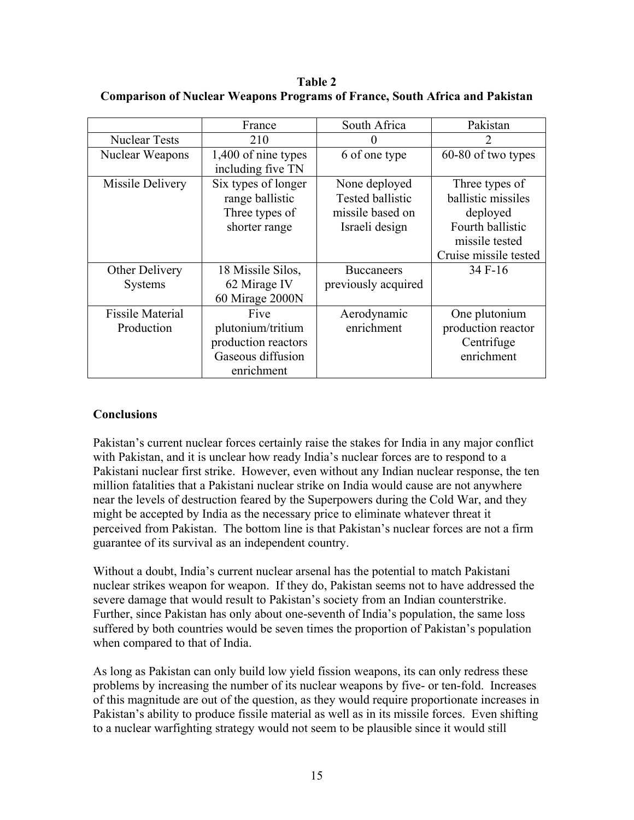**Table 2 Comparison of Nuclear Weapons Programs of France, South Africa and Pakistan** 

|                                       | France                                                                              | South Africa                                                            | Pakistan                                                                                                        |
|---------------------------------------|-------------------------------------------------------------------------------------|-------------------------------------------------------------------------|-----------------------------------------------------------------------------------------------------------------|
| <b>Nuclear Tests</b>                  | 210                                                                                 | $\Omega$                                                                | 7                                                                                                               |
| Nuclear Weapons                       | 1,400 of nine types<br>including five TN                                            | 6 of one type                                                           | 60-80 of two types                                                                                              |
| Missile Delivery                      | Six types of longer<br>range ballistic<br>Three types of<br>shorter range           | None deployed<br>Tested ballistic<br>missile based on<br>Israeli design | Three types of<br>ballistic missiles<br>deployed<br>Fourth ballistic<br>missile tested<br>Cruise missile tested |
| Other Delivery                        | 18 Missile Silos,                                                                   | <b>Buccaneers</b>                                                       | 34 F-16                                                                                                         |
| <b>Systems</b>                        | 62 Mirage IV<br>60 Mirage 2000N                                                     | previously acquired                                                     |                                                                                                                 |
| <b>Fissile Material</b><br>Production | Five<br>plutonium/tritium<br>production reactors<br>Gaseous diffusion<br>enrichment | Aerodynamic<br>enrichment                                               | One plutonium<br>production reactor<br>Centrifuge<br>enrichment                                                 |

# **Conclusions**

Pakistan's current nuclear forces certainly raise the stakes for India in any major conflict with Pakistan, and it is unclear how ready India's nuclear forces are to respond to a Pakistani nuclear first strike. However, even without any Indian nuclear response, the ten million fatalities that a Pakistani nuclear strike on India would cause are not anywhere near the levels of destruction feared by the Superpowers during the Cold War, and they might be accepted by India as the necessary price to eliminate whatever threat it perceived from Pakistan. The bottom line is that Pakistan's nuclear forces are not a firm guarantee of its survival as an independent country.

Without a doubt, India's current nuclear arsenal has the potential to match Pakistani nuclear strikes weapon for weapon. If they do, Pakistan seems not to have addressed the severe damage that would result to Pakistan's society from an Indian counterstrike. Further, since Pakistan has only about one-seventh of India's population, the same loss suffered by both countries would be seven times the proportion of Pakistan's population when compared to that of India.

As long as Pakistan can only build low yield fission weapons, its can only redress these problems by increasing the number of its nuclear weapons by five- or ten-fold. Increases of this magnitude are out of the question, as they would require proportionate increases in Pakistan's ability to produce fissile material as well as in its missile forces. Even shifting to a nuclear warfighting strategy would not seem to be plausible since it would still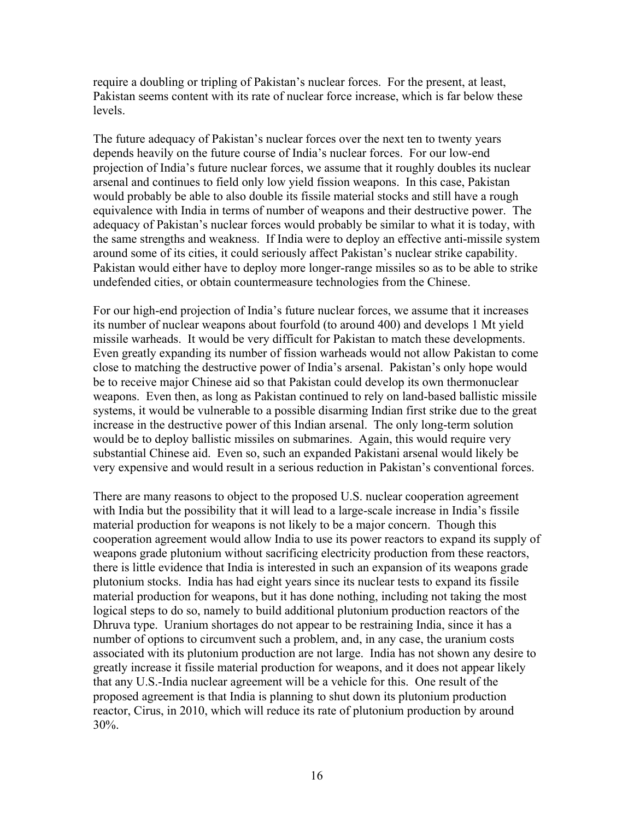require a doubling or tripling of Pakistan's nuclear forces. For the present, at least, Pakistan seems content with its rate of nuclear force increase, which is far below these levels.

The future adequacy of Pakistan's nuclear forces over the next ten to twenty years depends heavily on the future course of India's nuclear forces. For our low-end projection of India's future nuclear forces, we assume that it roughly doubles its nuclear arsenal and continues to field only low yield fission weapons. In this case, Pakistan would probably be able to also double its fissile material stocks and still have a rough equivalence with India in terms of number of weapons and their destructive power. The adequacy of Pakistan's nuclear forces would probably be similar to what it is today, with the same strengths and weakness. If India were to deploy an effective anti-missile system around some of its cities, it could seriously affect Pakistan's nuclear strike capability. Pakistan would either have to deploy more longer-range missiles so as to be able to strike undefended cities, or obtain countermeasure technologies from the Chinese.

For our high-end projection of India's future nuclear forces, we assume that it increases its number of nuclear weapons about fourfold (to around 400) and develops 1 Mt yield missile warheads. It would be very difficult for Pakistan to match these developments. Even greatly expanding its number of fission warheads would not allow Pakistan to come close to matching the destructive power of India's arsenal. Pakistan's only hope would be to receive major Chinese aid so that Pakistan could develop its own thermonuclear weapons. Even then, as long as Pakistan continued to rely on land-based ballistic missile systems, it would be vulnerable to a possible disarming Indian first strike due to the great increase in the destructive power of this Indian arsenal. The only long-term solution would be to deploy ballistic missiles on submarines. Again, this would require very substantial Chinese aid. Even so, such an expanded Pakistani arsenal would likely be very expensive and would result in a serious reduction in Pakistan's conventional forces.

There are many reasons to object to the proposed U.S. nuclear cooperation agreement with India but the possibility that it will lead to a large-scale increase in India's fissile material production for weapons is not likely to be a major concern. Though this cooperation agreement would allow India to use its power reactors to expand its supply of weapons grade plutonium without sacrificing electricity production from these reactors, there is little evidence that India is interested in such an expansion of its weapons grade plutonium stocks. India has had eight years since its nuclear tests to expand its fissile material production for weapons, but it has done nothing, including not taking the most logical steps to do so, namely to build additional plutonium production reactors of the Dhruva type. Uranium shortages do not appear to be restraining India, since it has a number of options to circumvent such a problem, and, in any case, the uranium costs associated with its plutonium production are not large. India has not shown any desire to greatly increase it fissile material production for weapons, and it does not appear likely that any U.S.-India nuclear agreement will be a vehicle for this. One result of the proposed agreement is that India is planning to shut down its plutonium production reactor, Cirus, in 2010, which will reduce its rate of plutonium production by around 30%.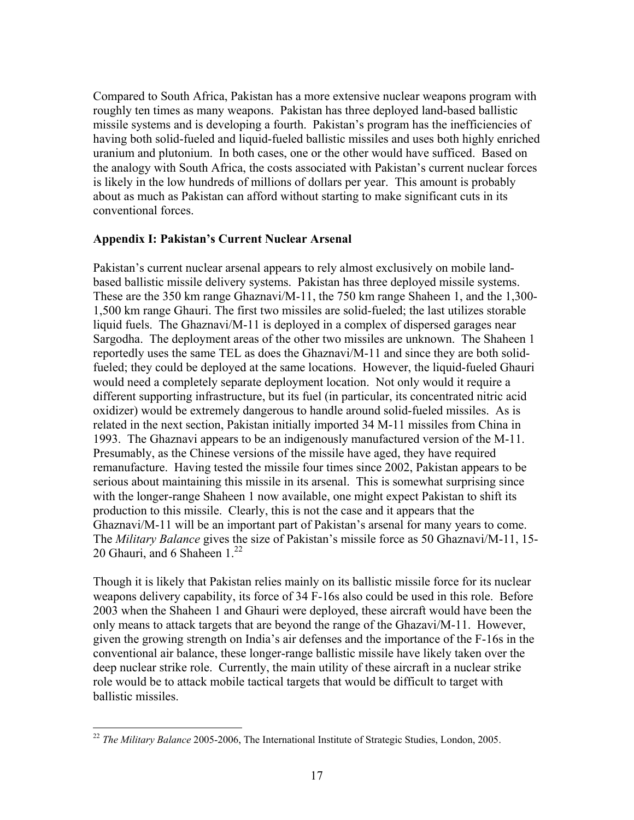Compared to South Africa, Pakistan has a more extensive nuclear weapons program with roughly ten times as many weapons. Pakistan has three deployed land-based ballistic missile systems and is developing a fourth. Pakistan's program has the inefficiencies of having both solid-fueled and liquid-fueled ballistic missiles and uses both highly enriched uranium and plutonium. In both cases, one or the other would have sufficed. Based on the analogy with South Africa, the costs associated with Pakistan's current nuclear forces is likely in the low hundreds of millions of dollars per year. This amount is probably about as much as Pakistan can afford without starting to make significant cuts in its conventional forces.

### **Appendix I: Pakistan's Current Nuclear Arsenal**

Pakistan's current nuclear arsenal appears to rely almost exclusively on mobile landbased ballistic missile delivery systems. Pakistan has three deployed missile systems. These are the 350 km range Ghaznavi/M-11, the 750 km range Shaheen 1, and the 1,300- 1,500 km range Ghauri. The first two missiles are solid-fueled; the last utilizes storable liquid fuels. The Ghaznavi/M-11 is deployed in a complex of dispersed garages near Sargodha. The deployment areas of the other two missiles are unknown. The Shaheen 1 reportedly uses the same TEL as does the Ghaznavi/M-11 and since they are both solidfueled; they could be deployed at the same locations. However, the liquid-fueled Ghauri would need a completely separate deployment location. Not only would it require a different supporting infrastructure, but its fuel (in particular, its concentrated nitric acid oxidizer) would be extremely dangerous to handle around solid-fueled missiles. As is related in the next section, Pakistan initially imported 34 M-11 missiles from China in 1993. The Ghaznavi appears to be an indigenously manufactured version of the M-11. Presumably, as the Chinese versions of the missile have aged, they have required remanufacture. Having tested the missile four times since 2002, Pakistan appears to be serious about maintaining this missile in its arsenal. This is somewhat surprising since with the longer-range Shaheen 1 now available, one might expect Pakistan to shift its production to this missile. Clearly, this is not the case and it appears that the Ghaznavi/M-11 will be an important part of Pakistan's arsenal for many years to come. The *Military Balance* gives the size of Pakistan's missile force as 50 Ghaznavi/M-11, 15- 20 Ghauri, and 6 Shaheen  $1<sup>22</sup>$ 

Though it is likely that Pakistan relies mainly on its ballistic missile force for its nuclear weapons delivery capability, its force of 34 F-16s also could be used in this role. Before 2003 when the Shaheen 1 and Ghauri were deployed, these aircraft would have been the only means to attack targets that are beyond the range of the Ghazavi/M-11. However, given the growing strength on India's air defenses and the importance of the F-16s in the conventional air balance, these longer-range ballistic missile have likely taken over the deep nuclear strike role. Currently, the main utility of these aircraft in a nuclear strike role would be to attack mobile tactical targets that would be difficult to target with ballistic missiles.

<sup>22</sup> *The Military Balance* 2005-2006, The International Institute of Strategic Studies, London, 2005.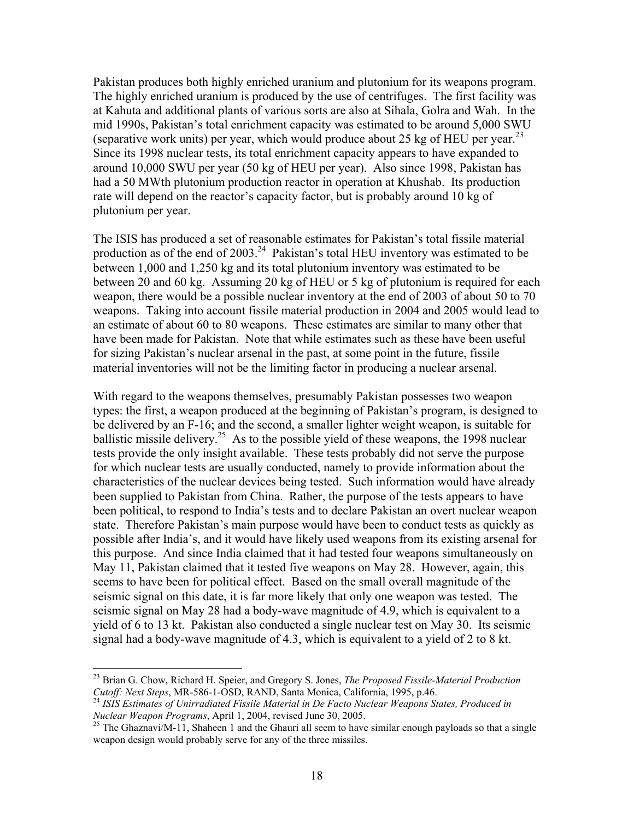Pakistan produces both highly enriched uranium and plutonium for its weapons program. The highly enriched uranium is produced by the use of centrifuges. The first facility was at Kahuta and additional plants of various sorts are also at Sihala, Golra and Wah. In the mid 1990s, Pakistan's total enrichment capacity was estimated to be around 5,000 SWU (separative work units) per year, which would produce about 25 kg of HEU per year.<sup>23</sup> Since its 1998 nuclear tests, its total enrichment capacity appears to have expanded to around 10,000 SWU per year (50 kg of HEU per year). Also since 1998, Pakistan has had a 50 MWth plutonium production reactor in operation at Khushab. Its production rate will depend on the reactor's capacity factor, but is probably around 10 kg of plutonium per year.

The ISIS has produced a set of reasonable estimates for Pakistan's total fissile material production as of the end of 2003.<sup>24</sup> Pakistan's total HEU inventory was estimated to be between 1,000 and 1,250 kg and its total plutonium inventory was estimated to be between 20 and 60 kg. Assuming 20 kg of HEU or 5 kg of plutonium is required for each weapon, there would be a possible nuclear inventory at the end of 2003 of about 50 to 70 weapons. Taking into account fissile material production in 2004 and 2005 would lead to an estimate of about 60 to 80 weapons. These estimates are similar to many other that have been made for Pakistan. Note that while estimates such as these have been useful for sizing Pakistan's nuclear arsenal in the past, at some point in the future, fissile material inventories will not be the limiting factor in producing a nuclear arsenal.

With regard to the weapons themselves, presumably Pakistan possesses two weapon types: the first, a weapon produced at the beginning of Pakistan's program, is designed to be delivered by an F-16; and the second, a smaller lighter weight weapon, is suitable for ballistic missile delivery.<sup>25</sup> As to the possible yield of these weapons, the 1998 nuclear tests provide the only insight available. These tests probably did not serve the purpose for which nuclear tests are usually conducted, namely to provide information about the characteristics of the nuclear devices being tested. Such information would have already been supplied to Pakistan from China. Rather, the purpose of the tests appears to have been political, to respond to India's tests and to declare Pakistan an overt nuclear weapon state. Therefore Pakistan's main purpose would have been to conduct tests as quickly as possible after India's, and it would have likely used weapons from its existing arsenal for this purpose. And since India claimed that it had tested four weapons simultaneously on May 11, Pakistan claimed that it tested five weapons on May 28. However, again, this seems to have been for political effect. Based on the small overall magnitude of the seismic signal on this date, it is far more likely that only one weapon was tested. The seismic signal on May 28 had a body-wave magnitude of 4.9, which is equivalent to a yield of 6 to 13 kt. Pakistan also conducted a single nuclear test on May 30. Its seismic signal had a body-wave magnitude of 4.3, which is equivalent to a yield of 2 to 8 kt.

<sup>23</sup> Brian G. Chow, Richard H. Speier, and Gregory S. Jones, *The Proposed Fissile-Material Production* 

*Cutoff: Next Steps*, MR-586-1-OSD, RAND, Santa Monica, California, 1995, p.46.<br><sup>24</sup> *ISIS Estimates of Unirradiated Fissile Material in De Facto Nuclear Weapons States, Produced in Nuclear Weapon Programs, April 1, 2004,* 

<sup>&</sup>lt;sup>25</sup> The Ghaznavi/M-11, Shaheen 1 and the Ghauri all seem to have similar enough payloads so that a single weapon design would probably serve for any of the three missiles.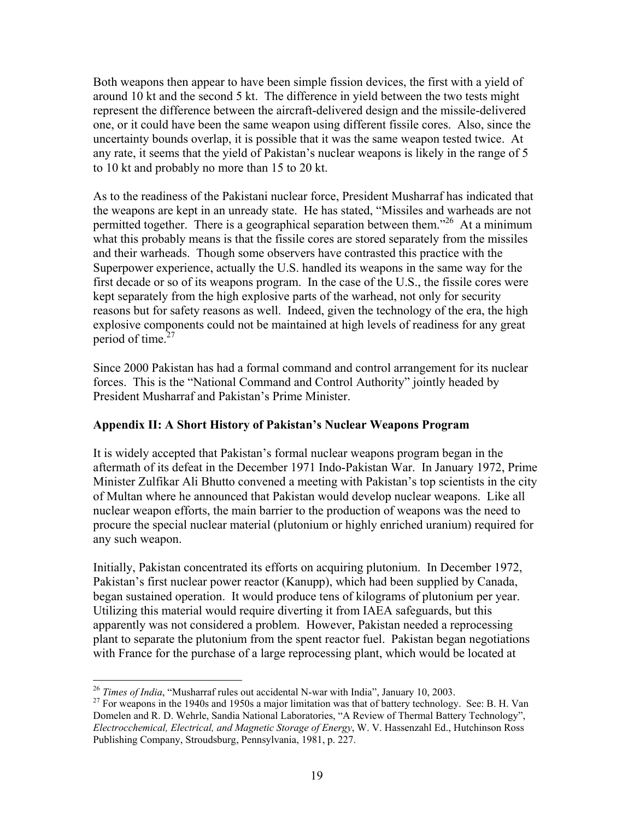Both weapons then appear to have been simple fission devices, the first with a yield of around 10 kt and the second 5 kt. The difference in yield between the two tests might represent the difference between the aircraft-delivered design and the missile-delivered one, or it could have been the same weapon using different fissile cores. Also, since the uncertainty bounds overlap, it is possible that it was the same weapon tested twice. At any rate, it seems that the yield of Pakistan's nuclear weapons is likely in the range of 5 to 10 kt and probably no more than 15 to 20 kt.

As to the readiness of the Pakistani nuclear force, President Musharraf has indicated that the weapons are kept in an unready state. He has stated, "Missiles and warheads are not permitted together. There is a geographical separation between them."26 At a minimum what this probably means is that the fissile cores are stored separately from the missiles and their warheads. Though some observers have contrasted this practice with the Superpower experience, actually the U.S. handled its weapons in the same way for the first decade or so of its weapons program. In the case of the U.S., the fissile cores were kept separately from the high explosive parts of the warhead, not only for security reasons but for safety reasons as well. Indeed, given the technology of the era, the high explosive components could not be maintained at high levels of readiness for any great period of time. $27$ 

Since 2000 Pakistan has had a formal command and control arrangement for its nuclear forces. This is the "National Command and Control Authority" jointly headed by President Musharraf and Pakistan's Prime Minister.

# **Appendix II: A Short History of Pakistan's Nuclear Weapons Program**

It is widely accepted that Pakistan's formal nuclear weapons program began in the aftermath of its defeat in the December 1971 Indo-Pakistan War. In January 1972, Prime Minister Zulfikar Ali Bhutto convened a meeting with Pakistan's top scientists in the city of Multan where he announced that Pakistan would develop nuclear weapons. Like all nuclear weapon efforts, the main barrier to the production of weapons was the need to procure the special nuclear material (plutonium or highly enriched uranium) required for any such weapon.

Initially, Pakistan concentrated its efforts on acquiring plutonium. In December 1972, Pakistan's first nuclear power reactor (Kanupp), which had been supplied by Canada, began sustained operation. It would produce tens of kilograms of plutonium per year. Utilizing this material would require diverting it from IAEA safeguards, but this apparently was not considered a problem. However, Pakistan needed a reprocessing plant to separate the plutonium from the spent reactor fuel. Pakistan began negotiations with France for the purchase of a large reprocessing plant, which would be located at

<sup>&</sup>lt;sup>26</sup> Times of India, "Musharraf rules out accidental N-war with India", January 10, 2003.

<sup>&</sup>lt;sup>27</sup> For weapons in the 1940s and 1950s a major limitation was that of battery technology. See: B. H. Van Domelen and R. D. Wehrle, Sandia National Laboratories, "A Review of Thermal Battery Technology", *Electrocchemical, Electrical, and Magnetic Storage of Energy*, W. V. Hassenzahl Ed., Hutchinson Ross Publishing Company, Stroudsburg, Pennsylvania, 1981, p. 227.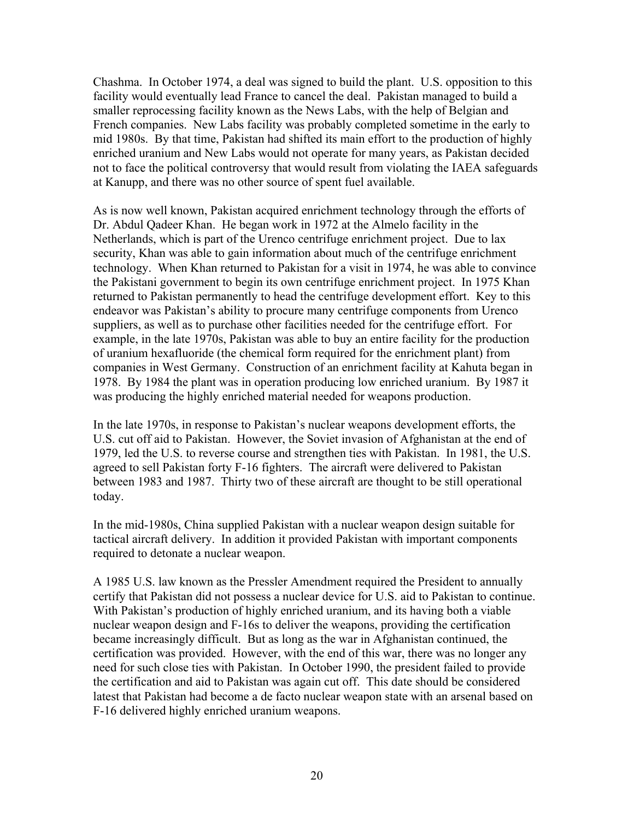Chashma. In October 1974, a deal was signed to build the plant. U.S. opposition to this facility would eventually lead France to cancel the deal. Pakistan managed to build a smaller reprocessing facility known as the News Labs, with the help of Belgian and French companies. New Labs facility was probably completed sometime in the early to mid 1980s. By that time, Pakistan had shifted its main effort to the production of highly enriched uranium and New Labs would not operate for many years, as Pakistan decided not to face the political controversy that would result from violating the IAEA safeguards at Kanupp, and there was no other source of spent fuel available.

As is now well known, Pakistan acquired enrichment technology through the efforts of Dr. Abdul Qadeer Khan. He began work in 1972 at the Almelo facility in the Netherlands, which is part of the Urenco centrifuge enrichment project. Due to lax security, Khan was able to gain information about much of the centrifuge enrichment technology. When Khan returned to Pakistan for a visit in 1974, he was able to convince the Pakistani government to begin its own centrifuge enrichment project. In 1975 Khan returned to Pakistan permanently to head the centrifuge development effort. Key to this endeavor was Pakistan's ability to procure many centrifuge components from Urenco suppliers, as well as to purchase other facilities needed for the centrifuge effort. For example, in the late 1970s, Pakistan was able to buy an entire facility for the production of uranium hexafluoride (the chemical form required for the enrichment plant) from companies in West Germany. Construction of an enrichment facility at Kahuta began in 1978. By 1984 the plant was in operation producing low enriched uranium. By 1987 it was producing the highly enriched material needed for weapons production.

In the late 1970s, in response to Pakistan's nuclear weapons development efforts, the U.S. cut off aid to Pakistan. However, the Soviet invasion of Afghanistan at the end of 1979, led the U.S. to reverse course and strengthen ties with Pakistan. In 1981, the U.S. agreed to sell Pakistan forty F-16 fighters. The aircraft were delivered to Pakistan between 1983 and 1987. Thirty two of these aircraft are thought to be still operational today.

In the mid-1980s, China supplied Pakistan with a nuclear weapon design suitable for tactical aircraft delivery. In addition it provided Pakistan with important components required to detonate a nuclear weapon.

A 1985 U.S. law known as the Pressler Amendment required the President to annually certify that Pakistan did not possess a nuclear device for U.S. aid to Pakistan to continue. With Pakistan's production of highly enriched uranium, and its having both a viable nuclear weapon design and F-16s to deliver the weapons, providing the certification became increasingly difficult. But as long as the war in Afghanistan continued, the certification was provided. However, with the end of this war, there was no longer any need for such close ties with Pakistan. In October 1990, the president failed to provide the certification and aid to Pakistan was again cut off. This date should be considered latest that Pakistan had become a de facto nuclear weapon state with an arsenal based on F-16 delivered highly enriched uranium weapons.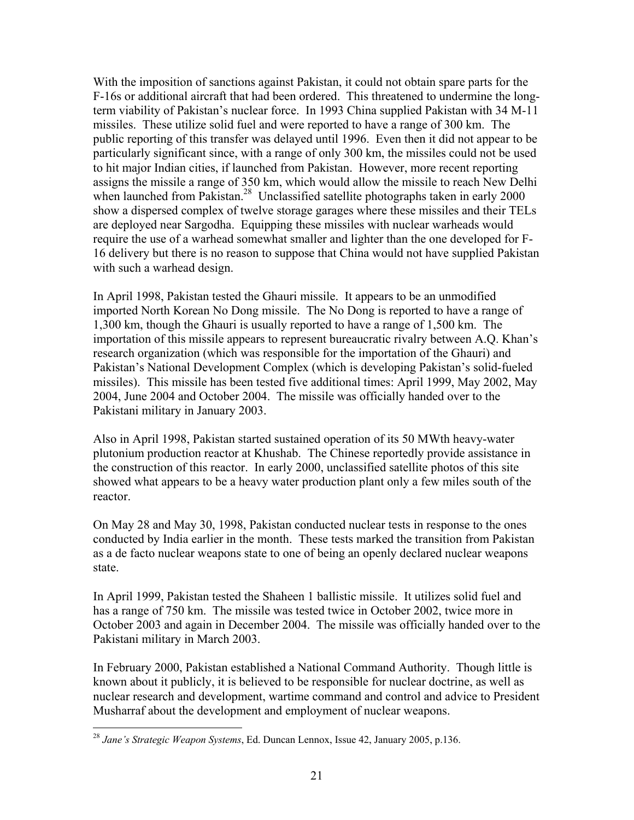With the imposition of sanctions against Pakistan, it could not obtain spare parts for the F-16s or additional aircraft that had been ordered. This threatened to undermine the longterm viability of Pakistan's nuclear force. In 1993 China supplied Pakistan with 34 M-11 missiles. These utilize solid fuel and were reported to have a range of 300 km. The public reporting of this transfer was delayed until 1996. Even then it did not appear to be particularly significant since, with a range of only 300 km, the missiles could not be used to hit major Indian cities, if launched from Pakistan. However, more recent reporting assigns the missile a range of 350 km, which would allow the missile to reach New Delhi when launched from Pakistan.<sup>28</sup> Unclassified satellite photographs taken in early 2000 show a dispersed complex of twelve storage garages where these missiles and their TELs are deployed near Sargodha. Equipping these missiles with nuclear warheads would require the use of a warhead somewhat smaller and lighter than the one developed for F-16 delivery but there is no reason to suppose that China would not have supplied Pakistan with such a warhead design.

In April 1998, Pakistan tested the Ghauri missile. It appears to be an unmodified imported North Korean No Dong missile. The No Dong is reported to have a range of 1,300 km, though the Ghauri is usually reported to have a range of 1,500 km. The importation of this missile appears to represent bureaucratic rivalry between A.Q. Khan's research organization (which was responsible for the importation of the Ghauri) and Pakistan's National Development Complex (which is developing Pakistan's solid-fueled missiles). This missile has been tested five additional times: April 1999, May 2002, May 2004, June 2004 and October 2004. The missile was officially handed over to the Pakistani military in January 2003.

Also in April 1998, Pakistan started sustained operation of its 50 MWth heavy-water plutonium production reactor at Khushab. The Chinese reportedly provide assistance in the construction of this reactor. In early 2000, unclassified satellite photos of this site showed what appears to be a heavy water production plant only a few miles south of the reactor.

On May 28 and May 30, 1998, Pakistan conducted nuclear tests in response to the ones conducted by India earlier in the month. These tests marked the transition from Pakistan as a de facto nuclear weapons state to one of being an openly declared nuclear weapons state.

In April 1999, Pakistan tested the Shaheen 1 ballistic missile. It utilizes solid fuel and has a range of 750 km. The missile was tested twice in October 2002, twice more in October 2003 and again in December 2004. The missile was officially handed over to the Pakistani military in March 2003.

In February 2000, Pakistan established a National Command Authority. Though little is known about it publicly, it is believed to be responsible for nuclear doctrine, as well as nuclear research and development, wartime command and control and advice to President Musharraf about the development and employment of nuclear weapons.

<sup>28</sup> *Jane's Strategic Weapon Systems*, Ed. Duncan Lennox, Issue 42, January 2005, p.136.